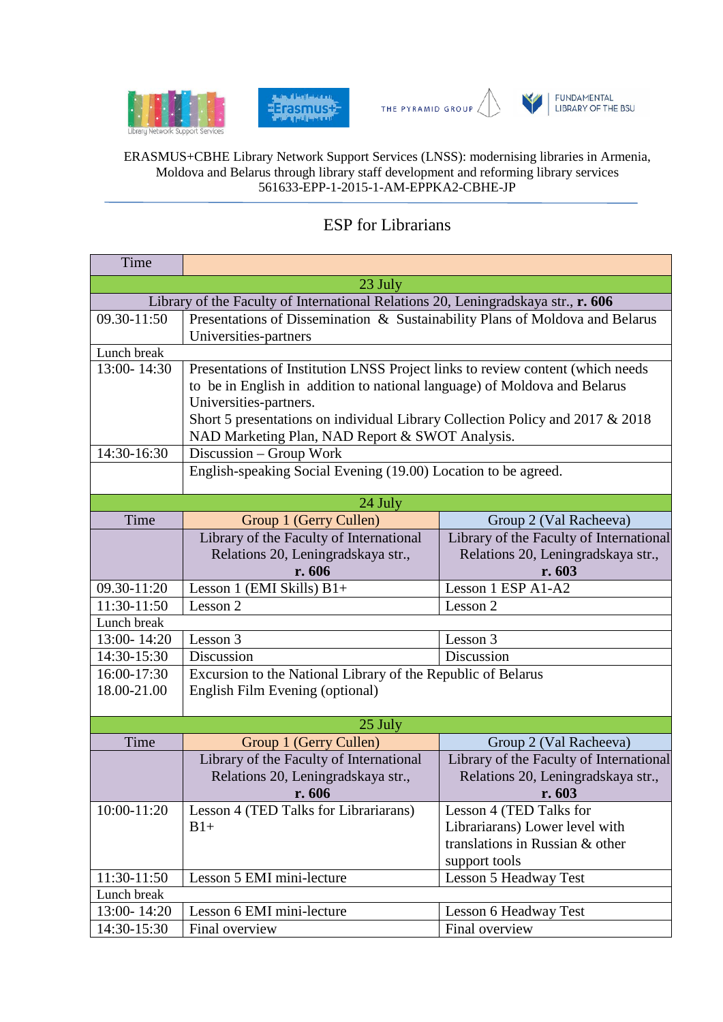







FUNDAMENTAL<br>LIBRARY OF THE BSU

## ERASMUS+CBHE Library Network Support Services (LNSS): modernising libraries in Armenia, Moldova and Belarus through library staff development and reforming library services 561633-EPP-1-2015-1-AM-EPPKA2-CBHE-JP

## ESP for Librarians

| Time                                                                              |                                                                                |                                         |  |
|-----------------------------------------------------------------------------------|--------------------------------------------------------------------------------|-----------------------------------------|--|
| 23 July                                                                           |                                                                                |                                         |  |
| Library of the Faculty of International Relations 20, Leningradskaya str., r. 606 |                                                                                |                                         |  |
| 09.30-11:50                                                                       | Presentations of Dissemination & Sustainability Plans of Moldova and Belarus   |                                         |  |
|                                                                                   | Universities-partners                                                          |                                         |  |
| Lunch break                                                                       |                                                                                |                                         |  |
| 13:00-14:30                                                                       | Presentations of Institution LNSS Project links to review content (which needs |                                         |  |
|                                                                                   | to be in English in addition to national language) of Moldova and Belarus      |                                         |  |
|                                                                                   | Universities-partners.                                                         |                                         |  |
|                                                                                   | Short 5 presentations on individual Library Collection Policy and 2017 & 2018  |                                         |  |
|                                                                                   | NAD Marketing Plan, NAD Report & SWOT Analysis.                                |                                         |  |
| 14:30-16:30                                                                       | Discussion – Group Work                                                        |                                         |  |
|                                                                                   | English-speaking Social Evening (19.00) Location to be agreed.                 |                                         |  |
|                                                                                   |                                                                                |                                         |  |
|                                                                                   | 24 July                                                                        |                                         |  |
| Time                                                                              | Group 1 (Gerry Cullen)                                                         | Group 2 (Val Racheeva)                  |  |
|                                                                                   | Library of the Faculty of International                                        | Library of the Faculty of International |  |
|                                                                                   | Relations 20, Leningradskaya str.,                                             | Relations 20, Leningradskaya str.,      |  |
|                                                                                   | r. 606                                                                         | r. 603                                  |  |
| 09.30-11:20                                                                       | Lesson 1 (EMI Skills) B1+                                                      | Lesson 1 ESP A1-A2                      |  |
| 11:30-11:50                                                                       | Lesson 2                                                                       | Lesson 2                                |  |
| Lunch break                                                                       |                                                                                |                                         |  |
| 13:00-14:20                                                                       | Lesson 3                                                                       | Lesson 3                                |  |
| 14:30-15:30                                                                       | Discussion                                                                     | Discussion                              |  |
| 16:00-17:30                                                                       | Excursion to the National Library of the Republic of Belarus                   |                                         |  |
| 18.00-21.00                                                                       | English Film Evening (optional)                                                |                                         |  |
|                                                                                   |                                                                                |                                         |  |
| 25 July                                                                           |                                                                                |                                         |  |
| Time                                                                              | Group 1 (Gerry Cullen)                                                         | Group 2 (Val Racheeva)                  |  |
|                                                                                   | Library of the Faculty of International                                        | Library of the Faculty of International |  |
|                                                                                   | Relations 20, Leningradskaya str.,                                             | Relations 20, Leningradskaya str.,      |  |
|                                                                                   | r. 606                                                                         | r.603                                   |  |
| 10:00-11:20                                                                       | Lesson 4 (TED Talks for Librariarans)                                          | Lesson 4 (TED Talks for                 |  |
|                                                                                   | $B1+$                                                                          | Librariarans) Lower level with          |  |
|                                                                                   |                                                                                | translations in Russian & other         |  |
|                                                                                   |                                                                                | support tools                           |  |
| 11:30-11:50                                                                       | Lesson 5 EMI mini-lecture                                                      | <b>Lesson 5 Headway Test</b>            |  |
| Lunch break                                                                       |                                                                                |                                         |  |
| 13:00-14:20                                                                       | Lesson 6 EMI mini-lecture                                                      | Lesson 6 Headway Test                   |  |
| 14:30-15:30                                                                       | Final overview                                                                 | Final overview                          |  |